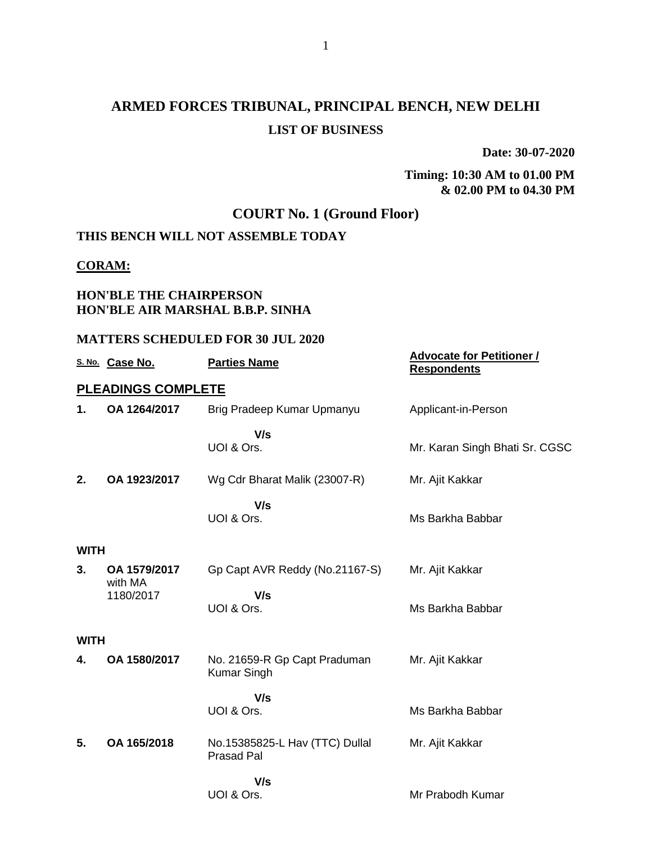# **ARMED FORCES TRIBUNAL, PRINCIPAL BENCH, NEW DELHI LIST OF BUSINESS**

**Date: 30-07-2020**

**Timing: 10:30 AM to 01.00 PM & 02.00 PM to 04.30 PM**

## **COURT No. 1 (Ground Floor)**

## **THIS BENCH WILL NOT ASSEMBLE TODAY**

### **CORAM:**

## **HON'BLE THE CHAIRPERSON HON'BLE AIR MARSHAL B.B.P. SINHA**

#### **MATTERS SCHEDULED FOR 30 JUL 2020**

|             | S. No. Case No.           | <b>Parties Name</b>                                 | <b>Advocate for Petitioner /</b><br><b>Respondents</b> |
|-------------|---------------------------|-----------------------------------------------------|--------------------------------------------------------|
|             | <b>PLEADINGS COMPLETE</b> |                                                     |                                                        |
| 1.          | OA 1264/2017              | Brig Pradeep Kumar Upmanyu                          | Applicant-in-Person                                    |
|             |                           | V/s<br>UOI & Ors.                                   | Mr. Karan Singh Bhati Sr. CGSC                         |
| 2.          | OA 1923/2017              | Wg Cdr Bharat Malik (23007-R)                       | Mr. Ajit Kakkar                                        |
|             |                           | V/s<br>UOI & Ors.                                   | Ms Barkha Babbar                                       |
| <b>WITH</b> |                           |                                                     |                                                        |
| 3.          | OA 1579/2017<br>with MA   | Gp Capt AVR Reddy (No.21167-S)                      | Mr. Ajit Kakkar                                        |
|             | 1180/2017                 | V/s<br>UOI & Ors.                                   | Ms Barkha Babbar                                       |
| <b>WITH</b> |                           |                                                     |                                                        |
| 4.          | OA 1580/2017              | No. 21659-R Gp Capt Praduman<br><b>Kumar Singh</b>  | Mr. Ajit Kakkar                                        |
|             |                           | V/s                                                 |                                                        |
|             |                           | UOI & Ors.                                          | Ms Barkha Babbar                                       |
| 5.          | OA 165/2018               | No.15385825-L Hav (TTC) Dullal<br><b>Prasad Pal</b> | Mr. Ajit Kakkar                                        |
|             |                           | V/s<br>UOI & Ors.                                   | Mr Prabodh Kumar                                       |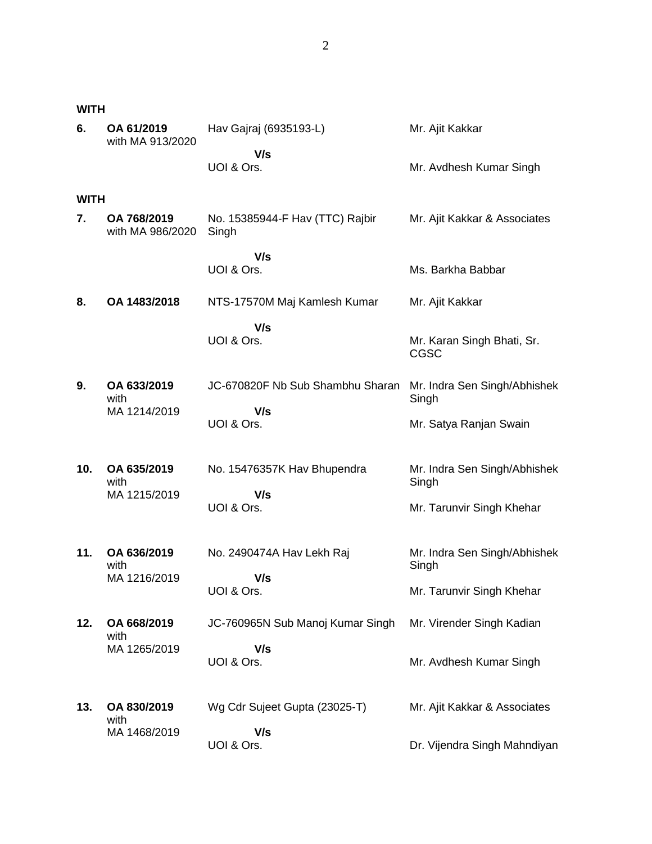**WITH**

| 6.          | OA 61/2019<br>with MA 913/2020  | Hav Gajraj (6935193-L)                   | Mr. Ajit Kakkar                           |
|-------------|---------------------------------|------------------------------------------|-------------------------------------------|
|             |                                 | V/s<br>UOI & Ors.                        | Mr. Avdhesh Kumar Singh                   |
| <b>WITH</b> |                                 |                                          |                                           |
| 7.          | OA 768/2019<br>with MA 986/2020 | No. 15385944-F Hav (TTC) Rajbir<br>Singh | Mr. Ajit Kakkar & Associates              |
|             |                                 | V/s                                      |                                           |
|             |                                 | UOI & Ors.                               | Ms. Barkha Babbar                         |
| 8.          | OA 1483/2018                    | NTS-17570M Maj Kamlesh Kumar             | Mr. Ajit Kakkar                           |
|             |                                 | V/s<br>UOI & Ors.                        | Mr. Karan Singh Bhati, Sr.<br><b>CGSC</b> |
| 9.          | OA 633/2019<br>with             | JC-670820F Nb Sub Shambhu Sharan         | Mr. Indra Sen Singh/Abhishek<br>Singh     |
|             | MA 1214/2019                    | V/s<br>UOI & Ors.                        | Mr. Satya Ranjan Swain                    |
| 10.         | OA 635/2019<br>with             | No. 15476357K Hav Bhupendra              | Mr. Indra Sen Singh/Abhishek<br>Singh     |
|             | MA 1215/2019                    | V/s<br>UOI & Ors.                        | Mr. Tarunvir Singh Khehar                 |
| 11.         | OA 636/2019<br>with             | No. 2490474A Hav Lekh Raj                | Mr. Indra Sen Singh/Abhishek<br>Singh     |
|             | MA 1216/2019                    | V/s<br>UOI & Ors.                        | Mr. Tarunvir Singh Khehar                 |
| 12.         | OA 668/2019<br>with             | JC-760965N Sub Manoj Kumar Singh         | Mr. Virender Singh Kadian                 |
|             | MA 1265/2019                    | V/s<br>UOI & Ors.                        | Mr. Avdhesh Kumar Singh                   |
| 13.         | OA 830/2019<br>with             | Wg Cdr Sujeet Gupta (23025-T)            | Mr. Ajit Kakkar & Associates              |
|             | MA 1468/2019                    | V/s<br>UOI & Ors.                        | Dr. Vijendra Singh Mahndiyan              |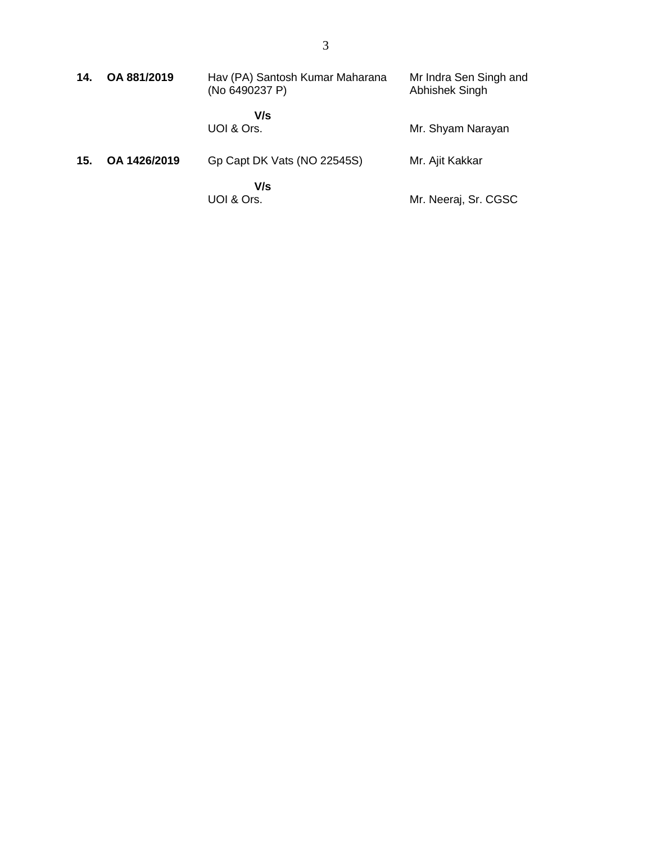| 14. | OA 881/2019  | Hav (PA) Santosh Kumar Maharana<br>(No 6490237 P) | Mr Indra Sen Singh and<br>Abhishek Singh |
|-----|--------------|---------------------------------------------------|------------------------------------------|
|     |              | V/s<br>UOI & Ors.                                 | Mr. Shyam Narayan                        |
| 15. | OA 1426/2019 | Gp Capt DK Vats (NO 22545S)                       | Mr. Ajit Kakkar                          |
|     |              | V/s<br>UOI & Ors.                                 | Mr. Neeraj, Sr. CGSC                     |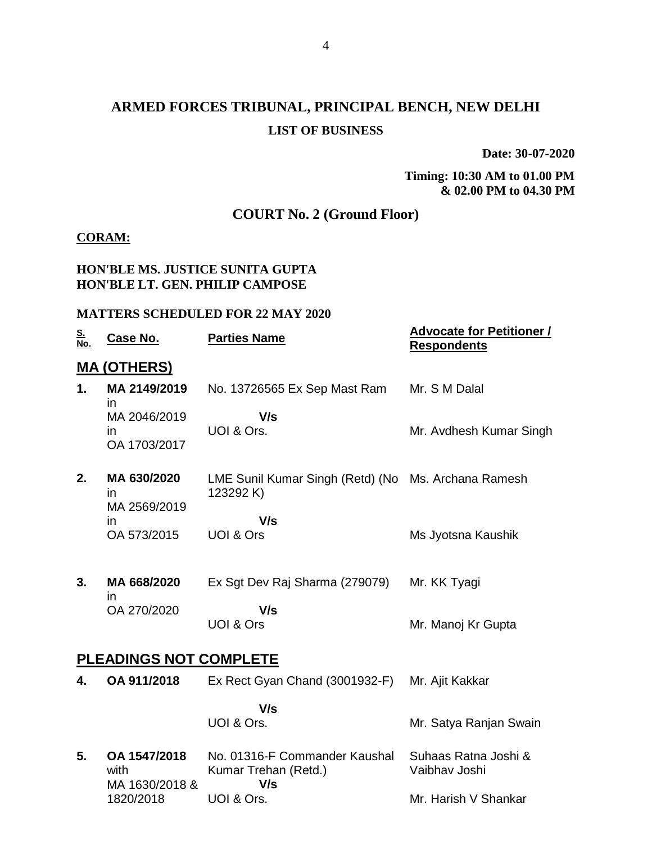# **ARMED FORCES TRIBUNAL, PRINCIPAL BENCH, NEW DELHI LIST OF BUSINESS**

**Date: 30-07-2020**

## **Timing: 10:30 AM to 01.00 PM & 02.00 PM to 04.30 PM**

## **COURT No. 2 (Ground Floor)**

## **CORAM:**

### **HON'BLE MS. JUSTICE SUNITA GUPTA HON'BLE LT. GEN. PHILIP CAMPOSE**

#### **MATTERS SCHEDULED FOR 22 MAY 2020**

| <u>S.<br/>No.</u> | <u>Case No.</u>                             | <b>Parties Name</b>                                              | <b>Advocate for Petitioner /</b><br><b>Respondents</b> |
|-------------------|---------------------------------------------|------------------------------------------------------------------|--------------------------------------------------------|
|                   | <u>MA (OTHERS)</u>                          |                                                                  |                                                        |
| 1.                | MA 2149/2019<br>$\mathsf{I}$                | No. 13726565 Ex Sep Mast Ram                                     | Mr. S M Dalal                                          |
|                   | MA 2046/2019<br>in<br>OA 1703/2017          | V/s<br>UOI & Ors.                                                | Mr. Avdhesh Kumar Singh                                |
| 2.                | MA 630/2020<br>$\mathsf{I}$<br>MA 2569/2019 | LME Sunil Kumar Singh (Retd) (No Ms. Archana Ramesh<br>123292 K) |                                                        |
|                   | in<br>OA 573/2015                           | V/s<br>UOI & Ors                                                 | Ms Jyotsna Kaushik                                     |
| 3.                | MA 668/2020<br>in                           | Ex Sgt Dev Raj Sharma (279079)                                   | Mr. KK Tyagi                                           |
|                   | OA 270/2020                                 | V/s<br>UOI & Ors                                                 | Mr. Manoj Kr Gupta                                     |
|                   | <b>PLEADINGS NOT COMPLETE</b>               |                                                                  |                                                        |
| 4.                | OA 911/2018                                 | Ex Rect Gyan Chand (3001932-F)                                   | Mr. Ajit Kakkar                                        |
|                   |                                             | V/s<br>UOI & Ors.                                                | Mr. Satya Ranjan Swain                                 |
| 5.                | OA 1547/2018<br>with<br>MA 1630/2018 &      | No. 01316-F Commander Kaushal<br>Kumar Trehan (Retd.)<br>V/s     | Suhaas Ratna Joshi &<br>Vaibhav Joshi                  |
|                   | 1820/2018                                   | UOI & Ors.                                                       | Mr. Harish V Shankar                                   |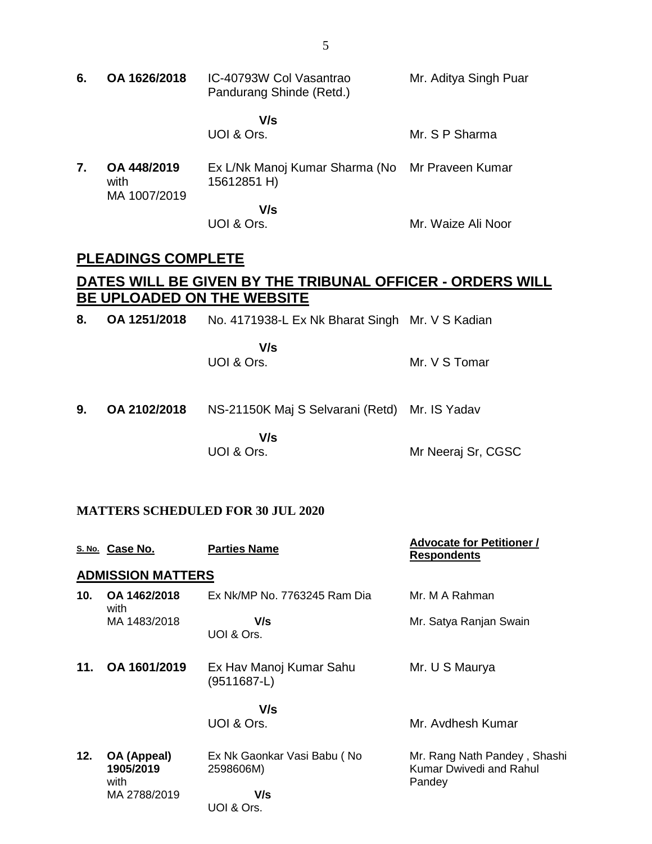- **6. OA 1626/2018** IC-40793W Col Vasantrao Pandurang Shinde (Retd.)  **V/s** UOI & Ors. Mr. Aditya Singh Puar Mr. S P Sharma **7. OA 448/2019** with MA 1007/2019 Ex L/Nk Manoj Kumar Sharma (No Mr Praveen Kumar 15612851 H)  **V/s** UOI & Ors. Mr. Waize Ali Noor **PLEADINGS COMPLETE DATES WILL BE GIVEN BY THE TRIBUNAL OFFICER - ORDERS WILL BE UPLOADED ON THE WEBSITE 8. OA 1251/2018** No. 4171938-L Ex Nk Bharat Singh Mr. V S Kadian  **V/s** UOI & Ors. Mr. V S Tomar
- **9. OA 2102/2018** NS-21150K Maj S Selvarani (Retd) Mr. IS Yadav

 **V/s** UOI & Ors.

Mr Neeraj Sr, CGSC

#### **MATTERS SCHEDULED FOR 30 JUL 2020**

|     | S. No. Case No.                  | <b>Parties Name</b>                      | <b>Advocate for Petitioner /</b><br><b>Respondents</b>            |
|-----|----------------------------------|------------------------------------------|-------------------------------------------------------------------|
|     | <b>ADMISSION MATTERS</b>         |                                          |                                                                   |
| 10. | OA 1462/2018<br>with             | Ex Nk/MP No. 7763245 Ram Dia             | Mr. M A Rahman                                                    |
|     | MA 1483/2018                     | V/s<br>UOI & Ors.                        | Mr. Satya Ranjan Swain                                            |
| 11. | OA 1601/2019                     | Ex Hav Manoj Kumar Sahu<br>$(9511687-L)$ | Mr. U S Maurya                                                    |
|     |                                  | V/s<br>UOI & Ors.                        | Mr. Avdhesh Kumar                                                 |
| 12. | OA (Appeal)<br>1905/2019<br>with | Ex Nk Gaonkar Vasi Babu (No<br>2598606M) | Mr. Rang Nath Pandey, Shashi<br>Kumar Dwivedi and Rahul<br>Pandey |
|     | MA 2788/2019                     | V/s<br>UOI & Ors.                        |                                                                   |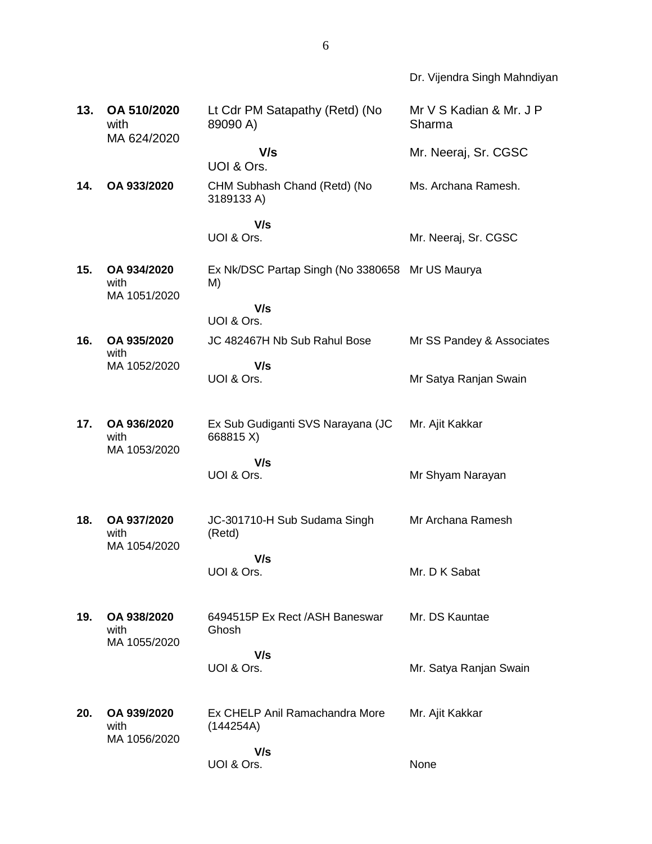|     |                                     |                                                | Dr. Vijendra Singh Mahndiyan      |
|-----|-------------------------------------|------------------------------------------------|-----------------------------------|
| 13. | OA 510/2020<br>with<br>MA 624/2020  | Lt Cdr PM Satapathy (Retd) (No<br>89090 A)     | Mr V S Kadian & Mr. J P<br>Sharma |
|     |                                     | V/s<br>UOI & Ors.                              | Mr. Neeraj, Sr. CGSC              |
| 14. | OA 933/2020                         | CHM Subhash Chand (Retd) (No<br>3189133 A)     | Ms. Archana Ramesh.               |
|     |                                     | V/s                                            |                                   |
|     |                                     | UOI & Ors.                                     | Mr. Neeraj, Sr. CGSC              |
| 15. | OA 934/2020<br>with<br>MA 1051/2020 | Ex Nk/DSC Partap Singh (No 3380658<br>M)       | Mr US Maurya                      |
|     |                                     | V/s<br>UOI & Ors.                              |                                   |
| 16. | OA 935/2020<br>with                 | JC 482467H Nb Sub Rahul Bose                   | Mr SS Pandey & Associates         |
|     | MA 1052/2020                        | V/s<br>UOI & Ors.                              | Mr Satya Ranjan Swain             |
| 17. | OA 936/2020<br>with<br>MA 1053/2020 | Ex Sub Gudiganti SVS Narayana (JC<br>668815 X) | Mr. Ajit Kakkar                   |
|     |                                     | V/s<br>UOI & Ors.                              | Mr Shyam Narayan                  |
| 18. | OA 937/2020<br>with<br>MA 1054/2020 | JC-301710-H Sub Sudama Singh<br>(Retd)         | Mr Archana Ramesh                 |
|     |                                     | V/s<br>UOI & Ors.                              | Mr. D K Sabat                     |
| 19. | OA 938/2020<br>with<br>MA 1055/2020 | 6494515P Ex Rect / ASH Baneswar<br>Ghosh       | Mr. DS Kauntae                    |
|     |                                     | V/s<br>UOI & Ors.                              | Mr. Satya Ranjan Swain            |
| 20. | OA 939/2020<br>with<br>MA 1056/2020 | Ex CHELP Anil Ramachandra More<br>(144254A)    | Mr. Ajit Kakkar                   |
|     |                                     | V/s<br>UOI & Ors.                              | None                              |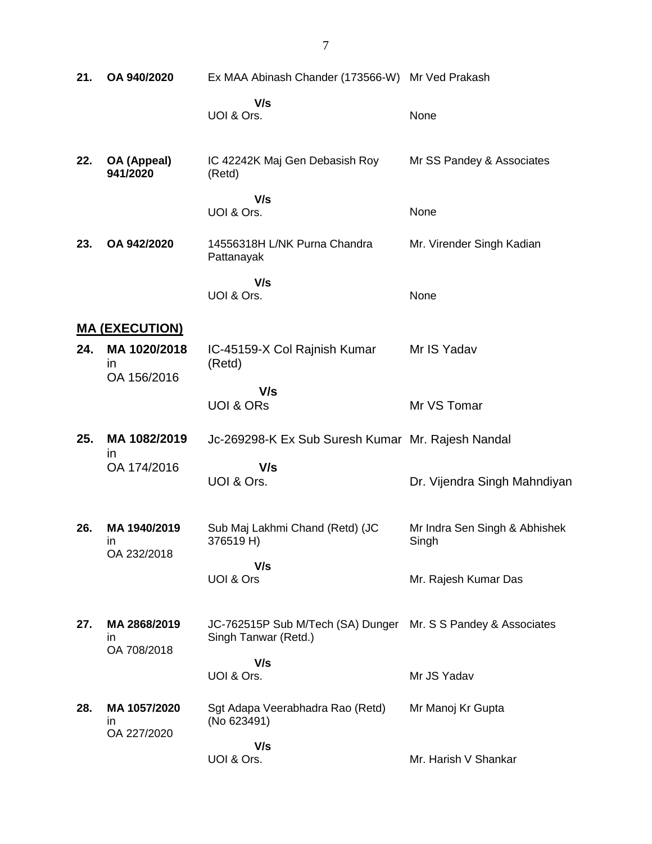| 21. | OA 940/2020                       | Ex MAA Abinash Chander (173566-W) Mr Ved Prakash                                      |                                        |
|-----|-----------------------------------|---------------------------------------------------------------------------------------|----------------------------------------|
|     |                                   | V/s<br>UOI & Ors.                                                                     | None                                   |
| 22. | OA (Appeal)<br>941/2020           | IC 42242K Maj Gen Debasish Roy<br>(Retd)                                              | Mr SS Pandey & Associates              |
|     |                                   | V/s<br>UOI & Ors.                                                                     | None                                   |
| 23. | OA 942/2020                       | 14556318H L/NK Purna Chandra<br>Pattanayak                                            | Mr. Virender Singh Kadian              |
|     |                                   | V/s<br>UOI & Ors.                                                                     | None                                   |
|     | <u>MA (EXECUTION)</u>             |                                                                                       |                                        |
| 24. | MA 1020/2018<br>in<br>OA 156/2016 | IC-45159-X Col Rajnish Kumar<br>(Retd)                                                | Mr IS Yadav                            |
|     |                                   | V/s<br><b>UOI &amp; ORS</b>                                                           | Mr VS Tomar                            |
| 25. | MA 1082/2019<br>$\mathsf{I}$      | Jc-269298-K Ex Sub Suresh Kumar Mr. Rajesh Nandal                                     |                                        |
|     | OA 174/2016                       | V/s<br>UOI & Ors.                                                                     | Dr. Vijendra Singh Mahndiyan           |
| 26. | MA 1940/2019<br>ın<br>OA 232/2018 | Sub Maj Lakhmi Chand (Retd) (JC<br>376519 H)                                          | Mr Indra Sen Singh & Abhishek<br>Singh |
|     |                                   | V/s<br>UOI & Ors                                                                      | Mr. Rajesh Kumar Das                   |
| 27. | MA 2868/2019<br>ın                | JC-762515P Sub M/Tech (SA) Dunger Mr. S S Pandey & Associates<br>Singh Tanwar (Retd.) |                                        |
|     | OA 708/2018                       | V/s                                                                                   |                                        |
|     |                                   | UOI & Ors.                                                                            | Mr JS Yadav                            |
| 28. | MA 1057/2020<br>ın<br>OA 227/2020 | Sgt Adapa Veerabhadra Rao (Retd)<br>(No 623491)                                       | Mr Manoj Kr Gupta                      |
|     |                                   | V/s<br>UOI & Ors.                                                                     | Mr. Harish V Shankar                   |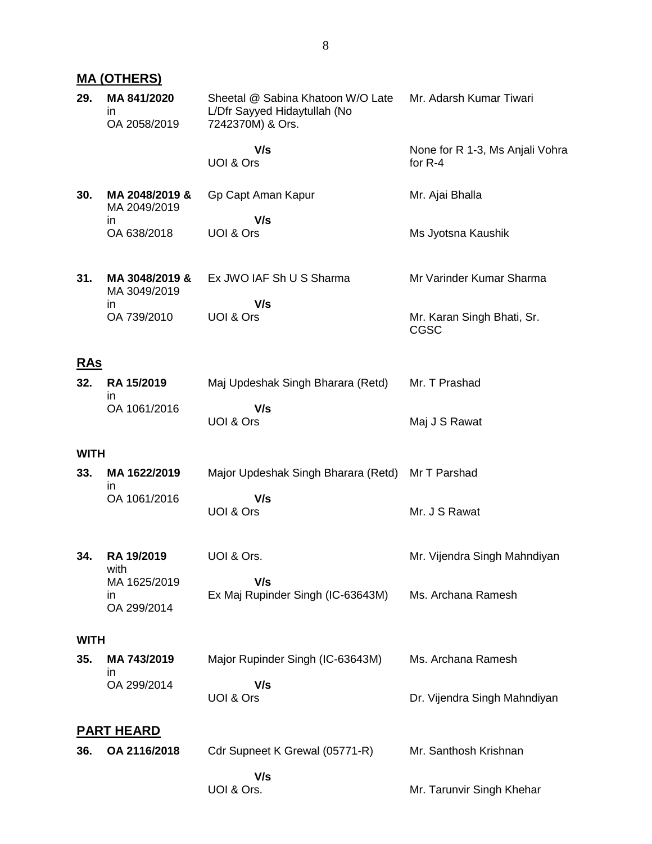## **MA (OTHERS)**

| 29.         | MA 841/2020<br>in<br>OA 2058/2019  | Sheetal @ Sabina Khatoon W/O Late<br>L/Dfr Sayyed Hidaytullah (No<br>7242370M) & Ors. | Mr. Adarsh Kumar Tiwari                      |
|-------------|------------------------------------|---------------------------------------------------------------------------------------|----------------------------------------------|
|             |                                    | V/s<br>UOI & Ors                                                                      | None for R 1-3, Ms Anjali Vohra<br>for $R-4$ |
| 30.         | MA 2048/2019 &<br>MA 2049/2019     | Gp Capt Aman Kapur                                                                    | Mr. Ajai Bhalla                              |
|             | in<br>OA 638/2018                  | V/s<br>UOI & Ors                                                                      | Ms Jyotsna Kaushik                           |
| 31.         | MA 3048/2019 &<br>MA 3049/2019     | Ex JWO IAF Sh U S Sharma                                                              | Mr Varinder Kumar Sharma                     |
|             | in<br>OA 739/2010                  | V/s<br>UOI & Ors                                                                      | Mr. Karan Singh Bhati, Sr.<br>CGSC           |
| <u>RAs</u>  |                                    |                                                                                       |                                              |
| 32.         | RA 15/2019<br>ın                   | Maj Updeshak Singh Bharara (Retd)                                                     | Mr. T Prashad                                |
|             | OA 1061/2016                       | V/s<br>UOI & Ors                                                                      | Maj J S Rawat                                |
| <b>WITH</b> |                                    |                                                                                       |                                              |
| 33.         | MA 1622/2019<br>in                 | Major Updeshak Singh Bharara (Retd)                                                   | Mr T Parshad                                 |
|             | OA 1061/2016                       | V/s<br>UOI & Ors                                                                      | Mr. J S Rawat                                |
| 34.         | RA 19/2019<br>with                 | UOI & Ors.                                                                            | Mr. Vijendra Singh Mahndiyan                 |
|             | MA 1625/2019<br>in.<br>OA 299/2014 | V/s<br>Ex Maj Rupinder Singh (IC-63643M)                                              | Ms. Archana Ramesh                           |
| <b>WITH</b> |                                    |                                                                                       |                                              |
| 35.         | MA 743/2019<br>in                  | Major Rupinder Singh (IC-63643M)                                                      | Ms. Archana Ramesh                           |
|             | OA 299/2014                        | V/s<br>UOI & Ors                                                                      | Dr. Vijendra Singh Mahndiyan                 |
|             | <u>PART HEARD</u>                  |                                                                                       |                                              |
| 36.         | OA 2116/2018                       | Cdr Supneet K Grewal (05771-R)                                                        | Mr. Santhosh Krishnan                        |
|             |                                    | V/s<br>UOI & Ors.                                                                     | Mr. Tarunvir Singh Khehar                    |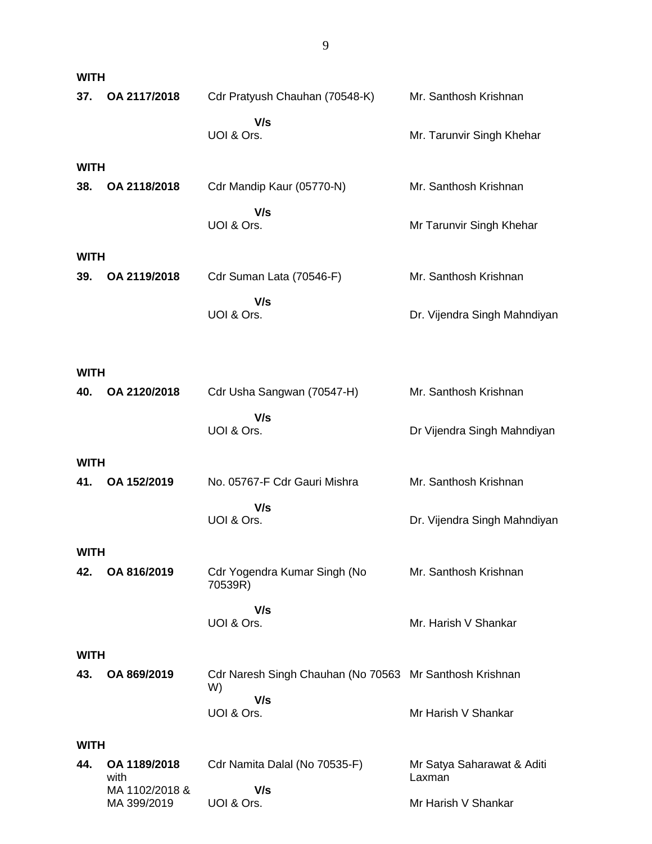| <b>WITH</b>        |                        |                                                               |                              |
|--------------------|------------------------|---------------------------------------------------------------|------------------------------|
| 37.                | OA 2117/2018           | Cdr Pratyush Chauhan (70548-K)                                | Mr. Santhosh Krishnan        |
|                    |                        | V/s<br>UOI & Ors.                                             | Mr. Tarunvir Singh Khehar    |
| <b>WITH</b>        |                        |                                                               |                              |
| 38.                | OA 2118/2018           | Cdr Mandip Kaur (05770-N)                                     | Mr. Santhosh Krishnan        |
|                    |                        | V/s<br>UOI & Ors.                                             | Mr Tarunvir Singh Khehar     |
| <b>WITH</b>        |                        |                                                               |                              |
| 39.                | OA 2119/2018           | Cdr Suman Lata (70546-F)                                      | Mr. Santhosh Krishnan        |
|                    |                        | V/s<br>UOI & Ors.                                             | Dr. Vijendra Singh Mahndiyan |
| <b>WITH</b>        |                        |                                                               |                              |
| 40.                | OA 2120/2018           | Cdr Usha Sangwan (70547-H)                                    | Mr. Santhosh Krishnan        |
|                    |                        | V/s<br>UOI & Ors.                                             | Dr Vijendra Singh Mahndiyan  |
| <b>WITH</b>        |                        |                                                               |                              |
| 41.                | OA 152/2019            | No. 05767-F Cdr Gauri Mishra                                  | Mr. Santhosh Krishnan        |
|                    |                        | V/s<br>UOI & Ors.                                             | Dr. Vijendra Singh Mahndiyan |
| WITH               |                        |                                                               |                              |
| 42.                | OA 816/2019            | Cdr Yogendra Kumar Singh (No<br>70539R)                       | Mr. Santhosh Krishnan        |
|                    |                        | V/s<br>UOI & Ors.                                             | Mr. Harish V Shankar         |
|                    |                        |                                                               |                              |
| <b>WITH</b><br>43. | OA 869/2019            | Cdr Naresh Singh Chauhan (No 70563 Mr Santhosh Krishnan<br>W) |                              |
|                    |                        | V/s<br>UOI & Ors.                                             | Mr Harish V Shankar          |
| <b>WITH</b>        |                        |                                                               |                              |
| 44.                | OA 1189/2018           | Cdr Namita Dalal (No 70535-F)                                 | Mr Satya Saharawat & Aditi   |
|                    | with<br>MA 1102/2018 & | V/s                                                           | Laxman                       |
|                    | MA 399/2019            | UOI & Ors.                                                    | Mr Harish V Shankar          |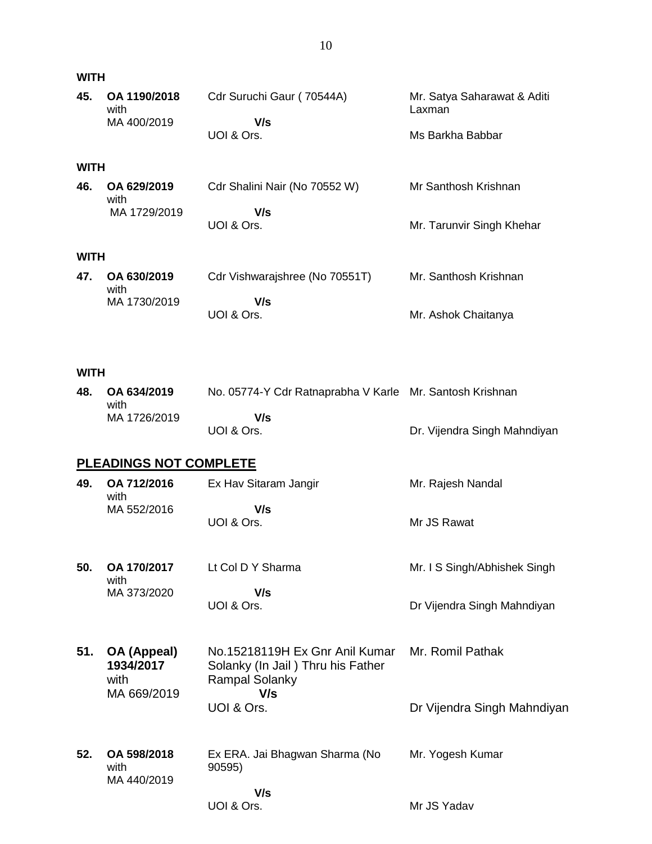| <b>WITH</b>               |                                       |  |  |  |
|---------------------------|---------------------------------------|--|--|--|
| Cdr Suruchi Gaur (70544A) | Mr. Satya Saharawat & Aditi<br>Laxman |  |  |  |
| V/s                       |                                       |  |  |  |
| UOI & Ors.                | Ms Barkha Babbar                      |  |  |  |
|                           |                                       |  |  |  |

#### **WITH**

| 46. | OA 629/2019<br>with | Cdr Shalini Nair (No 70552 W) | Mr Santhosh Krishnan      |
|-----|---------------------|-------------------------------|---------------------------|
|     | MA 1729/2019        | V/s                           |                           |
|     |                     | UOI & Ors.                    | Mr. Tarunvir Singh Khehar |

#### **WITH**

| 47. | OA 630/2019<br>with | Cdr Vishwarajshree (No 70551T) | Mr. Santhosh Krishnan |
|-----|---------------------|--------------------------------|-----------------------|
|     | MA 1730/2019        | V/s<br>UOI & Ors.              | Mr. Ashok Chaitanya   |

#### **WITH**

| 48. OA 634/2019<br>with | No. 05774-Y Cdr Ratnaprabha V Karle Mr. Santosh Krishnan |                              |
|-------------------------|----------------------------------------------------------|------------------------------|
| MA 1726/2019            | V/s                                                      |                              |
|                         | UOI & Ors.                                               | Dr. Vijendra Singh Mahndiyan |

#### **PLEADINGS NOT COMPLETE**

| 49. | OA 712/2016<br>with | Ex Hav Sitaram Jangir | Mr. Rajesh Nandal |
|-----|---------------------|-----------------------|-------------------|
|     | MA 552/2016         | V/s<br>UOI & Ors.     | Mr JS Rawat       |

| 50. | OA 170/2017<br>with | Lt Col D Y Sharma | Mr. I S Singh/Abhishek Singh |
|-----|---------------------|-------------------|------------------------------|
|     | MA 373/2020         | V/s<br>UOI & Ors. | Dr Vijendra Singh Mahndiyan  |

- **51. OA (Appeal) 1934/2017** with MA 669/2019 No.15218119H Ex Gnr Anil Kumar Solanky (In Jail ) Thru his Father Rampal Solanky  **V/s** UOI & Ors. Mr. Romil Pathak Dr Vijendra Singh Mahndiyan
- **52. OA 598/2018** with MA 440/2019 Ex ERA. Jai Bhagwan Sharma (No 90595)  **V/s** Mr. Yogesh Kumar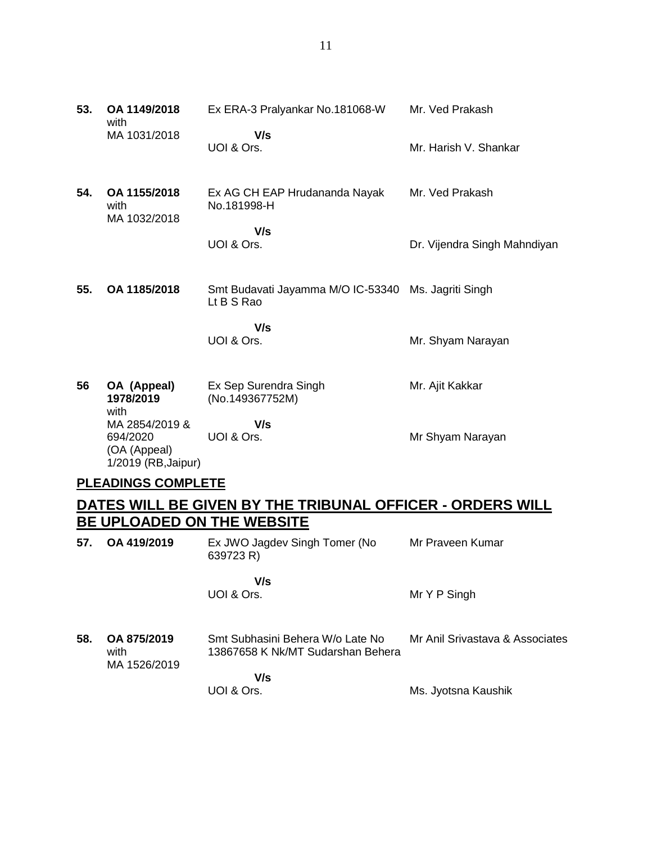**53. OA 1149/2018** with MA 1031/2018 Ex ERA-3 Pralyankar No.181068-W  **V/s** UOI & Ors. Mr. Ved Prakash Mr. Harish V. Shankar **54. OA 1155/2018** with MA 1032/2018 Ex AG CH EAP Hrudananda Nayak No.181998-H  **V/s** UOI & Ors. Mr. Ved Prakash Dr. Vijendra Singh Mahndiyan **55. OA 1185/2018** Smt Budavati Jayamma M/O IC-53340 Ms. Jagriti Singh Lt B S Rao  **V/s** UOI & Ors. Mr. Shyam Narayan **56 OA (Appeal) 1978/2019** Ex Sep Surendra Singh (No.149367752M) Mr. Ajit Kakkar

with MA 2854/2019 & 694/2020 (OA (Appeal) 1/2019 (RB,Jaipur)  **V/s** UOI & Ors. Mr Shyam Narayan

#### **PLEADINGS COMPLETE**

## **DATES WILL BE GIVEN BY THE TRIBUNAL OFFICER - ORDERS WILL BE UPLOADED ON THE WEBSITE**

| 57. | OA 419/2019                         | Ex JWO Jagdev Singh Tomer (No<br>639723 R)                            | Mr Praveen Kumar                |
|-----|-------------------------------------|-----------------------------------------------------------------------|---------------------------------|
|     |                                     | V/s<br>UOI & Ors.                                                     | Mr Y P Singh                    |
| 58. | OA 875/2019<br>with<br>MA 1526/2019 | Smt Subhasini Behera W/o Late No<br>13867658 K Nk/MT Sudarshan Behera | Mr Anil Srivastava & Associates |
|     |                                     | V/s<br>UOI & Ors.                                                     | Ms. Jyotsna Kaushik             |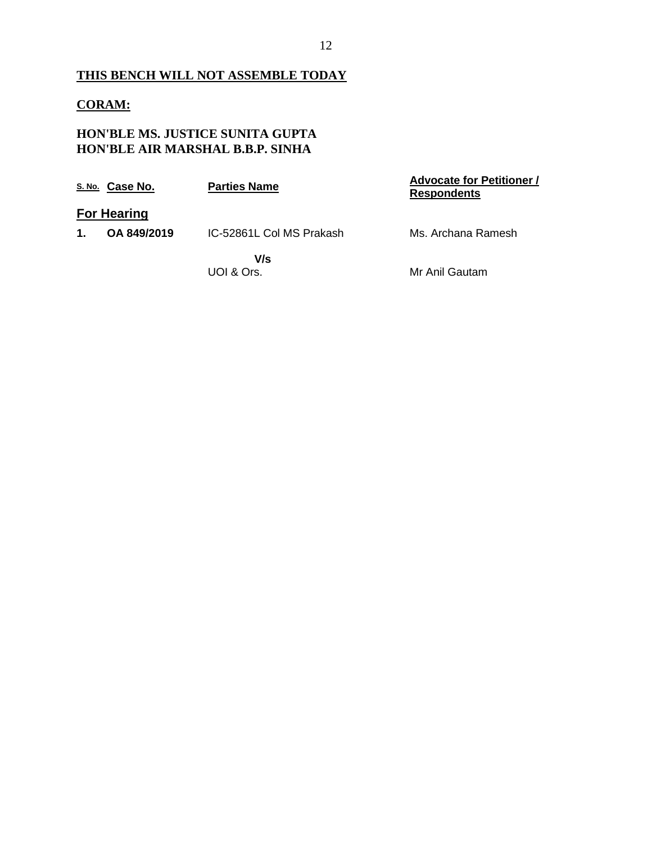## **THIS BENCH WILL NOT ASSEMBLE TODAY**

## **CORAM:**

## **HON'BLE MS. JUSTICE SUNITA GUPTA HON'BLE AIR MARSHAL B.B.P. SINHA**

|               | S. No. Case No.    | <b>Parties Name</b>      | <b>Advocate for Petitioner /</b><br><b>Respondents</b> |
|---------------|--------------------|--------------------------|--------------------------------------------------------|
|               | <b>For Hearing</b> |                          |                                                        |
| $\mathbf 1$ . | OA 849/2019        | IC-52861L Col MS Prakash | Ms. Archana Ramesh                                     |
|               |                    | V/s                      |                                                        |
|               |                    | UOI & Ors.               | Mr Anil Gautam                                         |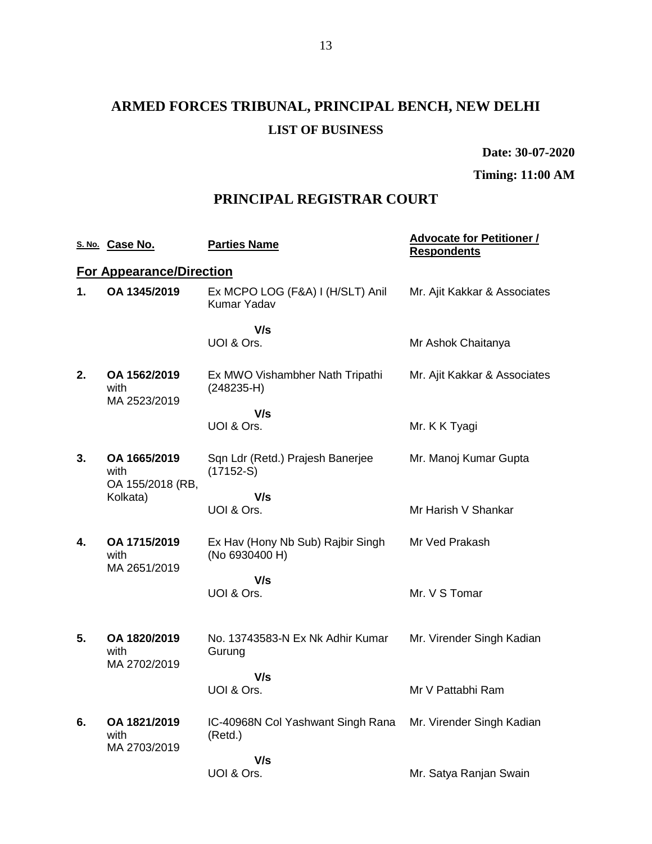# **ARMED FORCES TRIBUNAL, PRINCIPAL BENCH, NEW DELHI LIST OF BUSINESS**

**Date: 30-07-2020**

**Timing: 11:00 AM**

## **PRINCIPAL REGISTRAR COURT**

|    | S. No. Case No.                          | <b>Parties Name</b>                                    | <b>Advocate for Petitioner /</b><br><b>Respondents</b> |
|----|------------------------------------------|--------------------------------------------------------|--------------------------------------------------------|
|    | <b>For Appearance/Direction</b>          |                                                        |                                                        |
| 1. | OA 1345/2019                             | Ex MCPO LOG (F&A) I (H/SLT) Anil<br><b>Kumar Yadav</b> | Mr. Ajit Kakkar & Associates                           |
|    |                                          | V/s<br>UOI & Ors.                                      | Mr Ashok Chaitanya                                     |
| 2. | OA 1562/2019<br>with<br>MA 2523/2019     | Ex MWO Vishambher Nath Tripathi<br>$(248235-H)$        | Mr. Ajit Kakkar & Associates                           |
|    |                                          | V/s                                                    |                                                        |
|    |                                          | UOI & Ors.                                             | Mr. K K Tyagi                                          |
| 3. | OA 1665/2019<br>with<br>OA 155/2018 (RB, | Sqn Ldr (Retd.) Prajesh Banerjee<br>$(17152-S)$        | Mr. Manoj Kumar Gupta                                  |
|    | Kolkata)                                 | V/s                                                    |                                                        |
|    |                                          | UOI & Ors.                                             | Mr Harish V Shankar                                    |
| 4. | OA 1715/2019<br>with<br>MA 2651/2019     | Ex Hav (Hony Nb Sub) Rajbir Singh<br>(No 6930400 H)    | Mr Ved Prakash                                         |
|    |                                          | V/s                                                    |                                                        |
|    |                                          | UOI & Ors.                                             | Mr. V S Tomar                                          |
|    |                                          |                                                        |                                                        |
| 5. | OA 1820/2019<br>with<br>MA 2702/2019     | No. 13743583-N Ex Nk Adhir Kumar<br>Gurung             | Mr. Virender Singh Kadian                              |
|    |                                          | V/s                                                    |                                                        |
|    |                                          | UOI & Ors.                                             | Mr V Pattabhi Ram                                      |
| 6. | OA 1821/2019<br>with                     | IC-40968N Col Yashwant Singh Rana<br>(Retd.)           | Mr. Virender Singh Kadian                              |
|    | MA 2703/2019                             | V/s                                                    |                                                        |
|    |                                          | UOI & Ors.                                             | Mr. Satya Ranjan Swain                                 |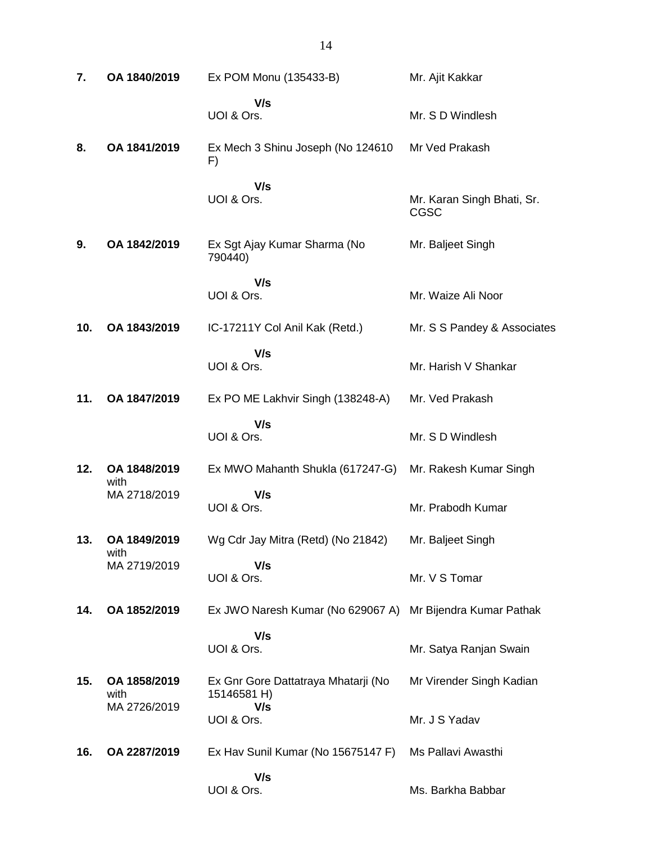| 7.  | OA 1840/2019         | Ex POM Monu (135433-B)                             | Mr. Ajit Kakkar                    |
|-----|----------------------|----------------------------------------------------|------------------------------------|
|     |                      | V/s<br>UOI & Ors.                                  | Mr. S D Windlesh                   |
| 8.  | OA 1841/2019         | Ex Mech 3 Shinu Joseph (No 124610<br>F)            | Mr Ved Prakash                     |
|     |                      | V/s<br>UOI & Ors.                                  | Mr. Karan Singh Bhati, Sr.<br>CGSC |
| 9.  | OA 1842/2019         | Ex Sgt Ajay Kumar Sharma (No<br>790440)            | Mr. Baljeet Singh                  |
|     |                      | V/s<br>UOI & Ors.                                  | Mr. Waize Ali Noor                 |
| 10. | OA 1843/2019         | IC-17211Y Col Anil Kak (Retd.)                     | Mr. S S Pandey & Associates        |
|     |                      | V/s<br>UOI & Ors.                                  | Mr. Harish V Shankar               |
| 11. | OA 1847/2019         | Ex PO ME Lakhvir Singh (138248-A)                  | Mr. Ved Prakash                    |
|     |                      | V/s<br>UOI & Ors.                                  | Mr. S D Windlesh                   |
| 12. | OA 1848/2019         | Ex MWO Mahanth Shukla (617247-G)                   | Mr. Rakesh Kumar Singh             |
|     | with<br>MA 2718/2019 | V/s<br>UOI & Ors.                                  | Mr. Prabodh Kumar                  |
| 13. | OA 1849/2019         | Wg Cdr Jay Mitra (Retd) (No 21842)                 | Mr. Baljeet Singh                  |
|     | with<br>MA 2719/2019 | V/s<br>UOI & Ors.                                  | Mr. V S Tomar                      |
| 14. | OA 1852/2019         | Ex JWO Naresh Kumar (No 629067 A)                  | Mr Bijendra Kumar Pathak           |
|     |                      | V/s<br>UOI & Ors.                                  | Mr. Satya Ranjan Swain             |
| 15. | OA 1858/2019<br>with | Ex Gnr Gore Dattatraya Mhatarji (No<br>15146581 H) | Mr Virender Singh Kadian           |
|     | MA 2726/2019         | V/s<br>UOI & Ors.                                  | Mr. J S Yadav                      |
| 16. | OA 2287/2019         | Ex Hav Sunil Kumar (No 15675147 F)                 | Ms Pallavi Awasthi                 |
|     |                      | V/s<br>UOI & Ors.                                  | Ms. Barkha Babbar                  |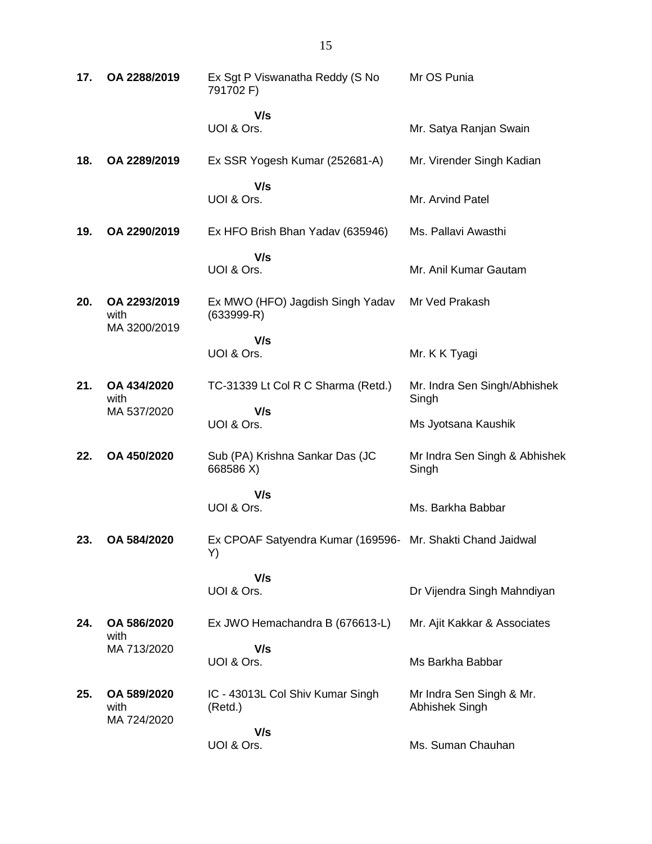| 17. | OA 2288/2019                         | Ex Sgt P Viswanatha Reddy (S No<br>791702 F)                     | Mr OS Punia                                |
|-----|--------------------------------------|------------------------------------------------------------------|--------------------------------------------|
|     |                                      | V/s<br>UOI & Ors.                                                | Mr. Satya Ranjan Swain                     |
| 18. | OA 2289/2019                         | Ex SSR Yogesh Kumar (252681-A)                                   | Mr. Virender Singh Kadian                  |
|     |                                      | V/s<br>UOI & Ors.                                                | Mr. Arvind Patel                           |
| 19. | OA 2290/2019                         | Ex HFO Brish Bhan Yadav (635946)                                 | Ms. Pallavi Awasthi                        |
|     |                                      | V/s<br>UOI & Ors.                                                | Mr. Anil Kumar Gautam                      |
| 20. | OA 2293/2019<br>with<br>MA 3200/2019 | Ex MWO (HFO) Jagdish Singh Yadav<br>$(633999 - R)$               | Mr Ved Prakash                             |
|     |                                      | V/s<br>UOI & Ors.                                                | Mr. K K Tyagi                              |
| 21. | OA 434/2020<br>with                  | TC-31339 Lt Col R C Sharma (Retd.)                               | Mr. Indra Sen Singh/Abhishek<br>Singh      |
|     | MA 537/2020                          | V/s<br>UOI & Ors.                                                | Ms Jyotsana Kaushik                        |
| 22. | OA 450/2020                          | Sub (PA) Krishna Sankar Das (JC<br>668586 X)                     | Mr Indra Sen Singh & Abhishek<br>Singh     |
|     |                                      | V/s<br>UOI & Ors.                                                | Ms. Barkha Babbar                          |
| 23. | OA 584/2020                          | Ex CPOAF Satyendra Kumar (169596- Mr. Shakti Chand Jaidwal<br>Y) |                                            |
|     |                                      | V/s<br>UOI & Ors.                                                | Dr Vijendra Singh Mahndiyan                |
|     |                                      |                                                                  |                                            |
| 24. | OA 586/2020<br>with                  | Ex JWO Hemachandra B (676613-L)                                  | Mr. Ajit Kakkar & Associates               |
|     | MA 713/2020                          | V/s<br>UOI & Ors.                                                | Ms Barkha Babbar                           |
| 25. | OA 589/2020<br>with<br>MA 724/2020   | IC - 43013L Col Shiv Kumar Singh<br>(Retd.)                      | Mr Indra Sen Singh & Mr.<br>Abhishek Singh |
|     |                                      | V/s<br>UOI & Ors.                                                | Ms. Suman Chauhan                          |